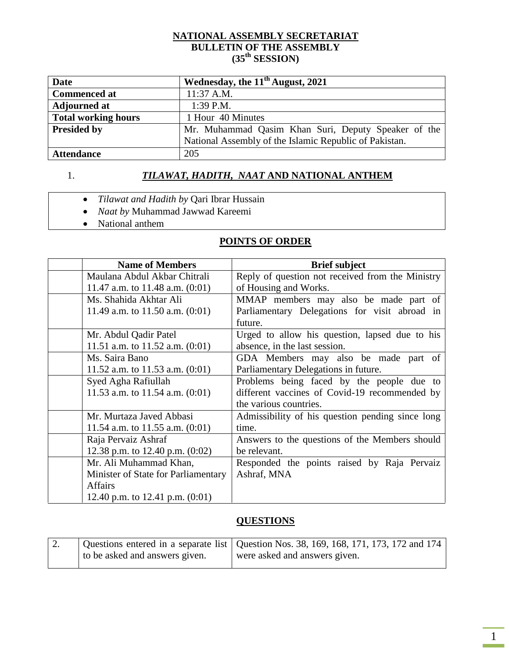#### **NATIONAL ASSEMBLY SECRETARIAT BULLETIN OF THE ASSEMBLY (35th SESSION)**

| Date                       | Wednesday, the $11th$ August, 2021                     |  |
|----------------------------|--------------------------------------------------------|--|
| <b>Commenced at</b>        | $11:37$ A.M.                                           |  |
| <b>Adjourned at</b>        | $1:39$ P.M.                                            |  |
| <b>Total working hours</b> | 1 Hour 40 Minutes                                      |  |
| <b>Presided by</b>         | Mr. Muhammad Qasim Khan Suri, Deputy Speaker of the    |  |
|                            | National Assembly of the Islamic Republic of Pakistan. |  |
| <b>Attendance</b>          | 205                                                    |  |

# 1. **TILAWAT, HADITH, NAAT AND NATIONAL ANTHEM**

- *Tilawat and Hadith by* Qari Ibrar Hussain
- *Naat by* Muhammad Jawwad Kareemi
- National anthem

#### **POINTS OF ORDER**

| <b>Name of Members</b>              | <b>Brief subject</b>                             |
|-------------------------------------|--------------------------------------------------|
| Maulana Abdul Akbar Chitrali        | Reply of question not received from the Ministry |
| 11.47 a.m. to 11.48 a.m. $(0:01)$   | of Housing and Works.                            |
| Ms. Shahida Akhtar Ali              | MMAP members may also be made part of            |
| 11.49 a.m. to 11.50 a.m. $(0:01)$   | Parliamentary Delegations for visit abroad in    |
|                                     | future.                                          |
| Mr. Abdul Qadir Patel               | Urged to allow his question, lapsed due to his   |
| 11.51 a.m. to 11.52 a.m. $(0:01)$   | absence, in the last session.                    |
| Ms. Saira Bano                      | GDA Members may also be made part of             |
| 11.52 a.m. to 11.53 a.m. $(0:01)$   | Parliamentary Delegations in future.             |
| Syed Agha Rafiullah                 | Problems being faced by the people due to        |
| 11.53 a.m. to 11.54 a.m. $(0:01)$   | different vaccines of Covid-19 recommended by    |
|                                     | the various countries.                           |
| Mr. Murtaza Javed Abbasi            | Admissibility of his question pending since long |
| 11.54 a.m. to 11.55 a.m. $(0:01)$   | time.                                            |
| Raja Pervaiz Ashraf                 | Answers to the questions of the Members should   |
| 12.38 p.m. to 12.40 p.m. $(0:02)$   | be relevant.                                     |
| Mr. Ali Muhammad Khan,              | Responded the points raised by Raja Pervaiz      |
| Minister of State for Parliamentary | Ashraf, MNA                                      |
| <b>Affairs</b>                      |                                                  |
| 12.40 p.m. to 12.41 p.m. $(0.01)$   |                                                  |

#### **QUESTIONS**

| Z. |                                | Questions entered in a separate list   Question Nos. 38, 169, 168, 171, 173, 172 and 174 |
|----|--------------------------------|------------------------------------------------------------------------------------------|
|    | to be asked and answers given. | were asked and answers given.                                                            |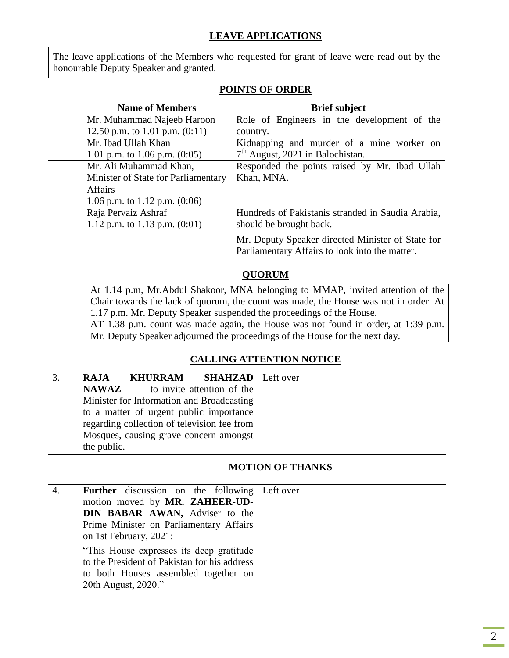The leave applications of the Members who requested for grant of leave were read out by the honourable Deputy Speaker and granted.

| <b>Name of Members</b>              | <b>Brief subject</b>                              |
|-------------------------------------|---------------------------------------------------|
| Mr. Muhammad Najeeb Haroon          | Role of Engineers in the development of the       |
| 12.50 p.m. to 1.01 p.m. $(0:11)$    | country.                                          |
| Mr. Ibad Ullah Khan                 | Kidnapping and murder of a mine worker on         |
| 1.01 p.m. to 1.06 p.m. $(0.05)$     | $7th$ August, 2021 in Balochistan.                |
| Mr. Ali Muhammad Khan,              | Responded the points raised by Mr. Ibad Ullah     |
| Minister of State for Parliamentary | Khan, MNA.                                        |
| <b>Affairs</b>                      |                                                   |
| 1.06 p.m. to 1.12 p.m. $(0:06)$     |                                                   |
| Raja Pervaiz Ashraf                 | Hundreds of Pakistanis stranded in Saudia Arabia, |
| 1.12 p.m. to 1.13 p.m. $(0:01)$     | should be brought back.                           |
|                                     | Mr. Deputy Speaker directed Minister of State for |
|                                     | Parliamentary Affairs to look into the matter.    |

## **POINTS OF ORDER**

#### **QUORUM**

| At 1.14 p.m, Mr. Abdul Shakoor, MNA belonging to MMAP, invited attention of the      |
|--------------------------------------------------------------------------------------|
| Chair towards the lack of quorum, the count was made, the House was not in order. At |
| 1.17 p.m. Mr. Deputy Speaker suspended the proceedings of the House.                 |
| AT 1.38 p.m. count was made again, the House was not found in order, at 1:39 p.m.    |
| Mr. Deputy Speaker adjourned the proceedings of the House for the next day.          |

## **CALLING ATTENTION NOTICE**

| <b>KHURRAM</b> SHAHZAD   Left over<br><b>RAJA</b> |  |
|---------------------------------------------------|--|
| <b>NAWAZ</b><br>to invite attention of the        |  |
| Minister for Information and Broadcasting         |  |
| to a matter of urgent public importance           |  |
| regarding collection of television fee from       |  |
| Mosques, causing grave concern amongst            |  |
| the public.                                       |  |

## **MOTION OF THANKS**

| 4. | <b>Further</b> discussion on the following Left over |  |
|----|------------------------------------------------------|--|
|    | motion moved by MR. ZAHEER-UD-                       |  |
|    | DIN BABAR AWAN, Adviser to the                       |  |
|    | Prime Minister on Parliamentary Affairs              |  |
|    | on 1st February, 2021:                               |  |
|    | "This House expresses its deep gratitude             |  |
|    | to the President of Pakistan for his address         |  |
|    | to both Houses assembled together on                 |  |
|    | 20th August, 2020."                                  |  |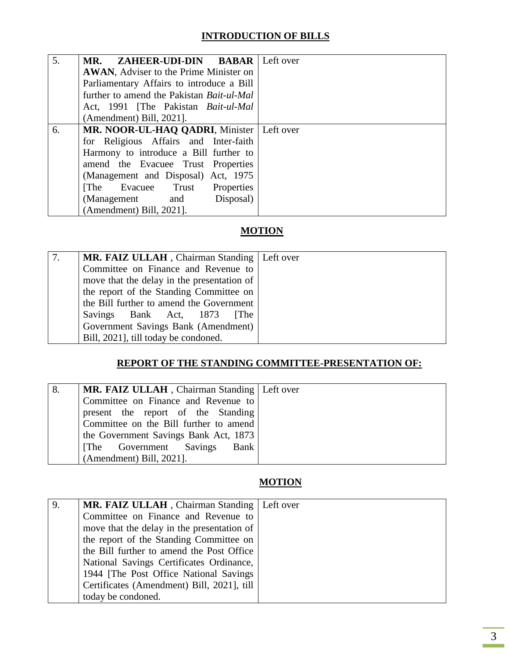## **INTRODUCTION OF BILLS**

| 5. | MR. ZAHEER-UDI-DIN BABAR Left over               |  |
|----|--------------------------------------------------|--|
|    | AWAN, Adviser to the Prime Minister on           |  |
|    | Parliamentary Affairs to introduce a Bill        |  |
|    | further to amend the Pakistan <i>Bait-ul-Mal</i> |  |
|    | Act, 1991 [The Pakistan Bait-ul-Mal              |  |
|    | (Amendment) Bill, 2021].                         |  |
| 6. | MR. NOOR-UL-HAQ QADRI, Minister   Left over      |  |
|    | for Religious Affairs and Inter-faith            |  |
|    | Harmony to introduce a Bill further to           |  |
|    | amend the Evacuee Trust Properties               |  |
|    | (Management and Disposal) Act, 1975              |  |
|    | Properties<br>[The Evacuee Trust]                |  |
|    | Disposal)<br>(Management and                     |  |
|    | (Amendment) Bill, 2021].                         |  |

# **MOTION**

| MR. FAIZ ULLAH, Chairman Standing   Left over |  |
|-----------------------------------------------|--|
| Committee on Finance and Revenue to           |  |
| move that the delay in the presentation of    |  |
| the report of the Standing Committee on       |  |
| the Bill further to amend the Government      |  |
| Savings Bank Act, 1873<br><b>The</b>          |  |
| Government Savings Bank (Amendment)           |  |
| Bill, 2021], till today be condoned.          |  |

## **REPORT OF THE STANDING COMMITTEE-PRESENTATION OF:**

| MR. FAIZ ULLAH, Chairman Standing   Left over |  |
|-----------------------------------------------|--|
|                                               |  |
| Committee on Finance and Revenue to           |  |
| present the report of the Standing            |  |
| Committee on the Bill further to amend        |  |
| the Government Savings Bank Act, 1873         |  |
| Bank<br>[The Government Savings]              |  |
| (Amendment) Bill, 2021].                      |  |

# **MOTION**

| 9. | MR. FAIZ ULLAH, Chairman Standing   Left over |  |
|----|-----------------------------------------------|--|
|    | Committee on Finance and Revenue to           |  |
|    | move that the delay in the presentation of    |  |
|    | the report of the Standing Committee on       |  |
|    | the Bill further to amend the Post Office     |  |
|    | National Savings Certificates Ordinance,      |  |
|    | 1944 [The Post Office National Savings]       |  |
|    | Certificates (Amendment) Bill, 2021], till    |  |
|    | today be condoned.                            |  |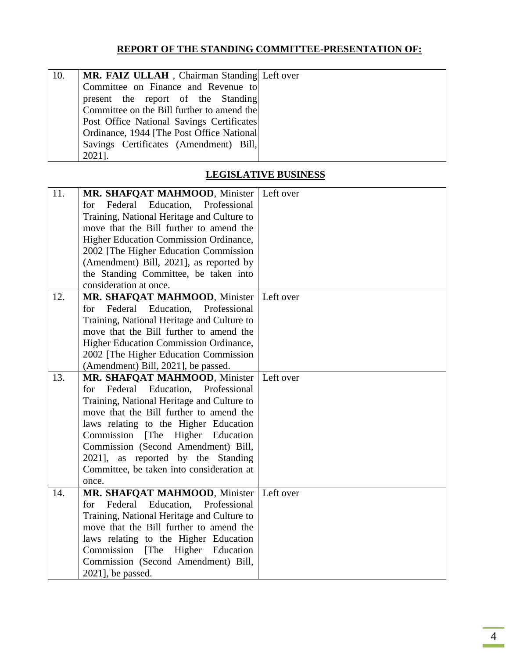#### **REPORT OF THE STANDING COMMITTEE-PRESENTATION OF:**

| 10. | MR. FAIZ ULLAH, Chairman Standing Left over |  |
|-----|---------------------------------------------|--|
|     | Committee on Finance and Revenue to         |  |
|     | present the report of the Standing          |  |
|     | Committee on the Bill further to amend the  |  |
|     | Post Office National Savings Certificates   |  |
|     | Ordinance, 1944 [The Post Office National]  |  |
|     | Savings Certificates (Amendment) Bill,      |  |
|     | 2021].                                      |  |

## **LEGISLATIVE BUSINESS**

| 11. | MR. SHAFQAT MAHMOOD, Minister              | Left over |
|-----|--------------------------------------------|-----------|
|     | Federal Education, Professional<br>for     |           |
|     | Training, National Heritage and Culture to |           |
|     | move that the Bill further to amend the    |           |
|     | Higher Education Commission Ordinance,     |           |
|     | 2002 [The Higher Education Commission      |           |
|     | (Amendment) Bill, 2021], as reported by    |           |
|     | the Standing Committee, be taken into      |           |
|     | consideration at once.                     |           |
| 12. | MR. SHAFQAT MAHMOOD, Minister              | Left over |
|     | Federal Education, Professional<br>for     |           |
|     | Training, National Heritage and Culture to |           |
|     | move that the Bill further to amend the    |           |
|     | Higher Education Commission Ordinance,     |           |
|     | 2002 [The Higher Education Commission      |           |
|     | (Amendment) Bill, 2021], be passed.        |           |
| 13. | MR. SHAFQAT MAHMOOD, Minister              | Left over |
|     | for Federal Education, Professional        |           |
|     | Training, National Heritage and Culture to |           |
|     | move that the Bill further to amend the    |           |
|     | laws relating to the Higher Education      |           |
|     | Commission [The Higher Education           |           |
|     | Commission (Second Amendment) Bill,        |           |
|     | 2021], as reported by the Standing         |           |
|     | Committee, be taken into consideration at  |           |
|     | once.                                      |           |
| 14. | MR. SHAFQAT MAHMOOD, Minister              | Left over |
|     | Federal Education, Professional<br>for     |           |
|     | Training, National Heritage and Culture to |           |
|     | move that the Bill further to amend the    |           |
|     | laws relating to the Higher Education      |           |
|     | Higher Education<br>Commission<br>[The]    |           |
|     | Commission (Second Amendment) Bill,        |           |
|     | 2021], be passed.                          |           |